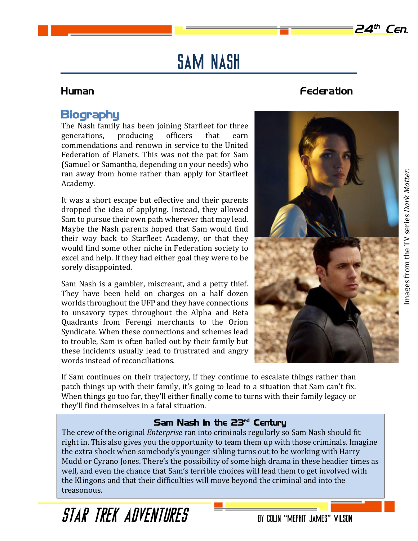# Sam Nash

# **Biography**

The Nash family has been joining Starfleet for three generations, producing officers that earn commendations and renown in service to the United Federation of Planets. This was not the pat for Sam (Samuel or Samantha, depending on your needs) who ran away from home rather than apply for Starfleet Academy.

It was a short escape but effective and their parents dropped the idea of applying. Instead, they allowed Sam to pursue their own path wherever that may lead. Maybe the Nash parents hoped that Sam would find their way back to Starfleet Academy, or that they would find some other niche in Federation society to excel and help. If they had either goal they were to be sorely disappointed.

Sam Nash is a gambler, miscreant, and a petty thief. They have been held on charges on a half dozen worlds throughout the UFP and they have connections to unsavory types throughout the Alpha and Beta Quadrants from Ferengi merchants to the Orion Syndicate. When these connections and schemes lead to trouble, Sam is often bailed out by their family but these incidents usually lead to frustrated and angry words instead of reconciliations.

If Sam continues on their trajectory, if they continue to escalate things rather than patch things up with their family, it's going to lead to a situation that Sam can't fix. When things go too far, they'll either finally come to turns with their family legacy or they'll find themselves in a fatal situation.

## Sam Nash in the 23rd Century

The crew of the original *Enterprise* ran into criminals regularly so Sam Nash should fit right in. This also gives you the opportunity to team them up with those criminals. Imagine the extra shock when somebody's younger sibling turns out to be working with Harry Mudd or Cyrano Jones. There's the possibility of some high drama in these headier times as well, and even the chance that Sam's terrible choices will lead them to get involved with the Klingons and that their difficulties will move beyond the criminal and into the treasonous.

# Human Federation



**24th Cen.**